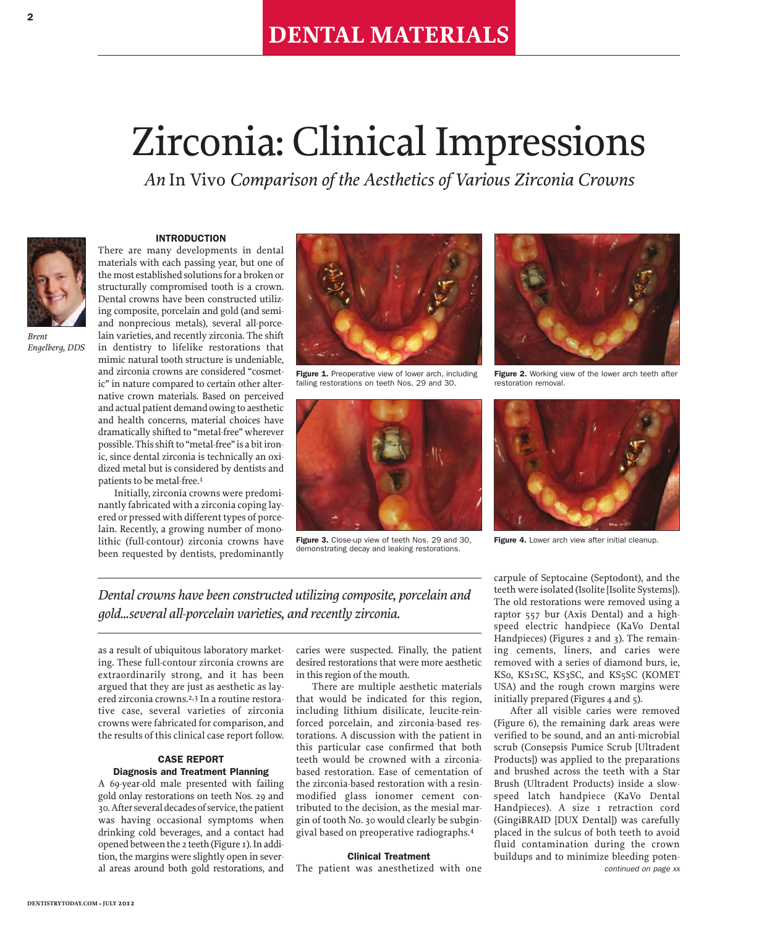# Zirconia: Clinical Impressions

*An* In Vivo *Comparison of the Aesthetics of Various Zirconia Crowns*



*Engelberg, DDS*

**INTRODUCTION**

There are many developments in dental materials with each passing year, but one of the most established solutions for a broken or structurally compromised tooth is a crown. Dental crowns have been constructed utilizing composite, porcelain and gold (and semiand nonprecious metals), several all-porcelain varieties, and recently zirconia. The shift in dentistry to lifelike restorations that mimic natural tooth structure is undeniable, and zirconia crowns are considered "cosmetic" in nature compared to certain other alternative crown materials. Based on perceived and actual patient demand owing to aesthetic and health concerns, material choices have dramatically shifted to "metal-free" wherever possible. This shift to "metal-free" is a bit ironic, since dental zirconia is technically an oxidized metal but is considered by dentists and patients to be metal-free.<sup>1</sup>

Initially, zirconia crowns were predominantly fabricated with a zirconia coping layered or pressed with different types of porcelain. Recently, a growing number of monolithic (full-contour) zirconia crowns have been requested by dentists, predominantly



**Figure 1.** Preoperative view of lower arch, including failing restorations on teeth Nos. 29 and 30.



**Figure 3.** Close-up view of teeth Nos. 29 and 30, demonstrating decay and leaking restorations.



**Figure 2.** Working view of the lower arch teeth after restoration removal.



**Figure 4.** Lower arch view after initial cleanup.

*Dental crowns have been constructed utilizing composite, porcelain and gold...several all-porcelain varieties, and recently zirconia.*

as a result of ubiquitous laboratory marketing. These full-contour zirconia crowns are extraordinarily strong, and it has been argued that they are just as aesthetic as layered zirconia crowns. 2,3 In a routine restorative case, several varieties of zirconia crowns were fabricated for comparison, and the results of this clinical case report follow.

# **CASE REPORT Diagnosis and Treatment Planning**

A 69-year-old male presented with failing gold onlay restorations on teeth Nos. 29 and 30. After several decades of service, the patient was having occasional symptoms when drinking cold beverages, and a contact had opened between the 2 teeth (Figure 1). In addition, the margins were slightly open in several areas around both gold restorations, and

caries were suspected. Finally, the patient desired restorations that were more aesthetic in thisregion of the mouth.

There are multiple aesthetic materials that would be indicated for this region, including lithium disilicate, leucite-reinforced porcelain, and zirconia-based restorations. A discussion with the patient in this particular case confirmed that both teeth would be crowned with a zirconiabased restoration. Ease of cementation of the zirconia-based restoration with a resinmodified glass ionomer cement contributed to the decision, as the mesial margin of tooth No. 30 would clearly be subgingival based on preoperative radiographs. 4

# **Clinical Treatment**

The patient was anesthetized with one

carpule of Septocaine (Septodont), and the teeth were isolated (Isolite [Isolite Systems]). The old restorations were removed using a raptor 557 bur (Axis Dental) and a highspeed electric handpiece (KaVo Dental Handpieces) (Figures 2 and 3). The remaining cements, liners, and caries were removed with a series of diamond burs, ie, KS0, KS1SC, KS3SC, and KS5SC (KOMET USA) and the rough crown margins were initially prepared (Figures 4 and 5).

After all visible caries were removed (Figure 6), the remaining dark areas were verified to be sound, and an anti-microbial scrub (Consepsis Pumice Scrub [Ultradent Products]) was applied to the preparations and brushed across the teeth with a Star Brush (Ultradent Products) inside a slowspeed latch handpiece (KaVo Dental Handpieces). A size I retraction cord (GingiBRAID [DUX Dental]) was carefully placed in the sulcus of both teeth to avoid fluid contamination during the crown buildups and to minimize bleeding poten*continued on page xx*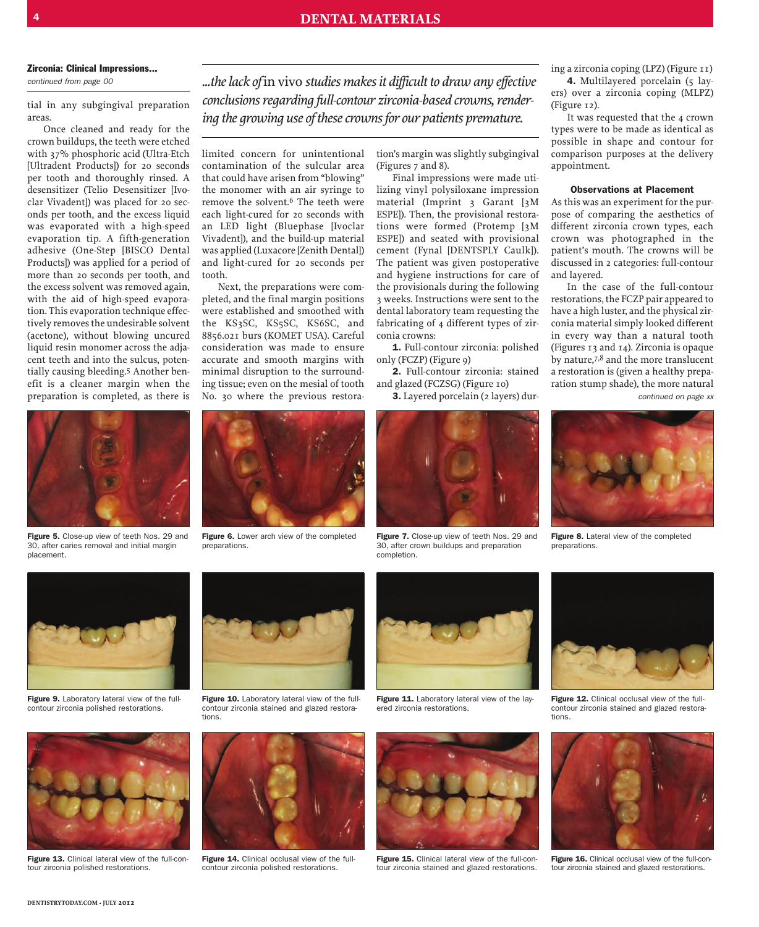#### **Zirconia: Clinical Impressions...**

*continued from page 00*

tial in any subgingival preparation areas.

Once cleaned and ready for the crown buildups, the teeth were etched with 37% phosphoric acid (Ultra-Etch [Ultradent Products]) for 20 seconds per tooth and thoroughly rinsed. A desensitizer (Telio Desensitizer [Ivoclar Vivadent]) was placed for 20 seconds per tooth, and the excess liquid was evaporated with a high-speed evaporation tip. A fifth-generation adhesive (One-Step [BISCO Dental Products]) was applied for a period of more than 20 seconds per tooth, and the excess solvent was removed again, with the aid of high-speed evaporation. This evaporation technique effectively removes the undesirable solvent (acetone), without blowing uncured liquid resin monomer across the adjacent teeth and into the sulcus, potentially causing bleeding. 5 Another benefit is a cleaner margin when the preparation is completed, as there is



**Figure 5.** Close-up view of teeth Nos. 29 and 30, after caries removal and initial margin placement.

*...thelack of* in vivo *studies makesit difficult to draw any effective conclusions regarding full-contour zirconia-based crowns, rendering the growing use of thesecrownsfor our patients premature.*

limited concern for unintentional contamination of the sulcular area that could have arisen from "blowing" the monomer with an air syringe to remove the solvent.<sup>6</sup> The teeth were each light-cured for 20 seconds with an LED light (Bluephase [Ivoclar Vivadent]), and the build-up material was applied (Luxacore [Zenith Dental]) and light-cured for 20 seconds per tooth.

Next, the preparations were completed, and the final margin positions were established and smoothed with the KS3SC, KS5SC, KS6SC, and 8856.021 burs (KOMET USA). Careful consideration was made to ensure accurate and smooth margins with minimal disruption to the surrounding tissue; even on the mesial of tooth No. 30 where the previous restora-



**Figure 6.** Lower arch view of the completed preparations.

tion's margin wasslightly subgingival (Figures 7 and 8).

Final impressions were made utilizing vinyl polysiloxane impression material (Imprint 3 Garant [3M ESPE]). Then, the provisional restorations were formed (Protemp [3M ESPE]) and seated with provisional cement (Fynal [DENTSPLY Caulk]). The patient was given postoperative and hygiene instructions for care of the provisionals during the following 3 weeks. Instructions were sent to the dental laboratory team requesting the fabricating of 4 different types of zirconia crowns:

**1.** Full-contour zirconia: polished only (FCZP) (Figure 9)

**2.** Full-contour zirconia: stained and glazed (FCZSG) (Figure 10)

**3.** Layered porcelain (2 layers) dur-



**Figure 7.** Close-up view of teeth Nos. 29 and 30, after crown buildups and preparation completion.

ing a zirconia coping (LPZ) (Figure 11) 4. Multilayered porcelain (5 layers) over a zirconia coping (MLPZ)

(Figure 12). It was requested that the 4 crown types were to be made as identical as possible in shape and contour for comparison purposes at the delivery appointment.

# **Observations at Placement**

Asthis was an experiment forthe purpose of comparing the aesthetics of different zirconia crown types, each crown was photographed in the patient's mouth. The crowns will be discussed in 2 categories: full-contour and layered.

In the case of the full-contour restorations, the FCZP pair appeared to have a high luster, and the physical zirconia material simply looked different in every way than a natural tooth (Figures 13 and 14). Zirconia is opaque by nature.<sup>7,8</sup> and the more translucent a restoration is (given a healthy preparation stump shade), the more natural *continued on page xx*



**Figure 8.** Lateral view of the completed preparations.



**Figure 9.** Laboratory lateral view of the fullcontour zirconia polished restorations.



**Figure 13.** Clinical lateral view of the full-contour zirconia polished restorations.



**Figure 10.** Laboratory lateral view of the fullcontour zirconia stained and glazed restorations.



**Figure 14.** Clinical occlusal view of the fullcontour zirconia polished restorations.



**Figure 11.** Laboratory lateral view of the layered zirconia restorations.



**Figure 15.** Clinical lateral view of the full-contour zirconia stained and glazed restorations.



**Figure 12.** Clinical occlusal view of the fullcontour zirconia stained and glazed restorations.



**Figure 16.** Clinical occlusal view of the full-contour zirconia stained and glazed restorations.